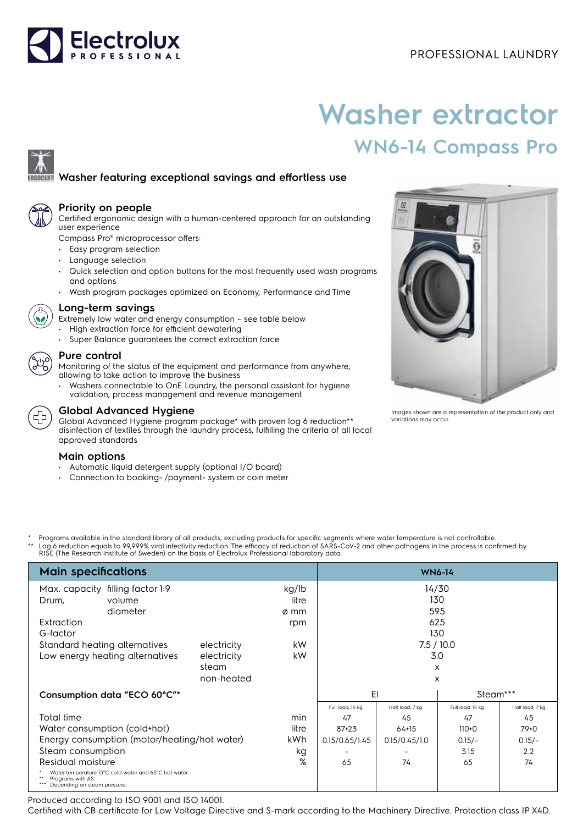

# **Washer extractor WN6-14 Compass Pro**

# **Washer featuring exceptional savings and effortless use**



## **Priority on people**

Certified ergonomic design with a human-centered approach for an outstanding user experience

Compass Pro® microprocessor offers:

- Easy program selection
- Language selection
- Quick selection and option buttons for the most frequently used wash programs and options
- Wash program packages optimized on Economy, Performance and Time



#### **Long-term savings**

Extremely low water and energy consumption – see table below

- High extraction force for efficient dewatering
- Super Balance guarantees the correct extraction force

#### **Pure control**

Monitoring of the status of the equipment and performance from anywhere, allowing to take action to improve the business

• Washers connectable to OnE Laundry, the personal assistant for hygiene validation, process management and revenue management



#### **Global Advanced Hygiene**

Global Advanced Hygiene program package\* with proven log 6 reduction\*\* disinfection of textiles through the laundry process, fulfilling the criteria of all local approved standards

## **Main options**

- Automatic liquid detergent supply (optional I/O board)
- Connection to booking- /payment- system or coin meter



Images shown are a representation of the product only and variations may occur.

Programs available in the standard library of all products, excluding products for specific segments where water temperature is not controllable. \*\* Log 6 reduction equals to 99,999% viral infectivity reduction. The efficacy of reduction of SARS-CoV-2 and other pathogens in the process is confirmed by<br>RISE (The Research Institute of Sweden) on the basis of Electrolu

| <b>Main specifications</b>                                                                                        | <b>WN6-14</b> |                |                  |                 |                  |                 |
|-------------------------------------------------------------------------------------------------------------------|---------------|----------------|------------------|-----------------|------------------|-----------------|
| Max. capacity filling factor 1:9<br>volume<br>Drum,                                                               |               | kg/lb<br>litre | 14/30<br>130     |                 |                  |                 |
| diameter                                                                                                          |               | ø mm           |                  |                 | 595              |                 |
| Extraction                                                                                                        |               | rpm            |                  | 625             |                  |                 |
| G-factor                                                                                                          |               |                |                  | 130             |                  |                 |
| Standard heating alternatives                                                                                     | electricity   | kW             | 7.5/10.0         |                 |                  |                 |
| Low energy heating alternatives                                                                                   | electricity   | kW             | 3.0              |                 |                  |                 |
|                                                                                                                   | steam         |                |                  |                 | X                |                 |
|                                                                                                                   | non-heated    |                |                  |                 | X                |                 |
| Consumption data "ECO 60°C"*                                                                                      |               | EI             |                  | Steam***        |                  |                 |
|                                                                                                                   |               |                | Full load, 14 kg | Half load, 7 kg | Full load, 14 kg | Half load, 7 kg |
| Total time                                                                                                        |               | min            | 47               | 45              | 47               | 45              |
| Water consumption (cold+hot)                                                                                      |               | litre          | 87+23            | $64+15$         | $110+0$          | $79+0$          |
| Energy consumption (motor/heating/hot water)                                                                      |               | kWh.           | 0.15/0.65/1.45   | 0.15/0.45/1.0   | $0.15/-$         | $0.15/-$        |
| Steam consumption                                                                                                 |               | kg             |                  |                 | 3.15             | 2.2             |
| Residual moisture                                                                                                 |               | %              | 65               | 74              | 65               | 74              |
| Water temperature 15°C cold water and 65°C hot water.<br>Programs with AS.<br>***<br>Depending on steam pressure. |               |                |                  |                 |                  |                 |

Produced according to ISO 9001 and ISO 14001.

Certified with CB certificate for Low Voltage Directive and S-mark according to the Machinery Directive. Protection class IP X4D.